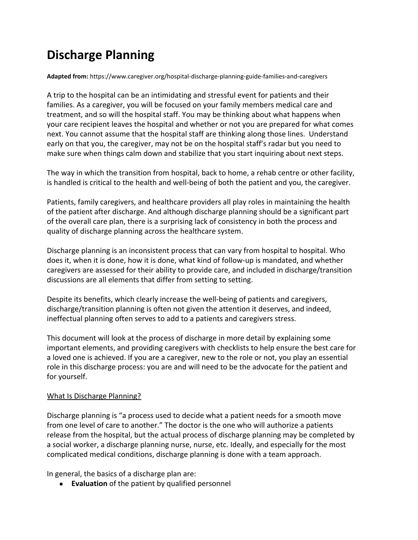# **Discharge Planning**

**Adapted from:** <https://www.caregiver.org/hospital-discharge-planning-guide-families-and-caregivers>

A trip to the hospital can be an intimidating and stressful event for patients and their families. As a caregiver, you will be focused on your family members medical care and treatment, and so will the hospital staff. You may be thinking about what happens when your care recipient leaves the hospital and whether or not you are prepared for what comes next. You cannot assume that the hospital staff are thinking along those lines. Understand early on that you, the caregiver, may not be on the hospital staff's radar but you need to make sure when things calm down and stabilize that you start inquiring about next steps.

The way in which the transition from hospital, back to home, a rehab centre or other facility, is handled is critical to the health and well-being of both the patient and you, the caregiver.

Patients, family caregivers, and healthcare providers all play roles in maintaining the health of the patient after discharge. And although discharge planning should be a significant part of the overall care plan, there is a surprising lack of consistency in both the process and quality of discharge planning across the healthcare system.

Discharge planning is an inconsistent process that can vary from hospital to hospital. Who does it, when it is done, how it is done, what kind of follow-up is mandated, and whether caregivers are assessed for their ability to provide care, and included in discharge/transition discussions are all elements that differ from setting to setting.

Despite its benefits, which clearly increase the well-being of patients and caregivers, discharge/transition planning is often not given the attention it deserves, and indeed, ineffectual planning often serves to add to a patients and caregivers stress.

This document will look at the process of discharge in more detail by explaining some important elements, and providing caregivers with checklists to help ensure the best care for a loved one is achieved. If you are a caregiver, new to the role or not, you play an essential role in this discharge process: you are and will need to be the advocate for the patient and for yourself.

## What Is Discharge Planning?

Discharge planning is "a process used to decide what a patient needs for a smooth move from one level of care to another." The doctor is the one who will authorize a patients release from the hospital, but the actual process of discharge planning may be completed by a social worker, a discharge planning nurse, nurse, etc. Ideally, and especially for the most complicated medical conditions, discharge planning is done with a team approach.

In general, the basics of a discharge plan are:

● **Evaluation** of the patient by qualified personnel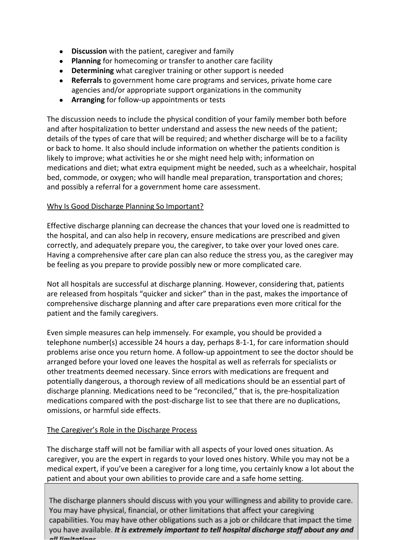- **Discussion** with the patient, caregiver and family
- **Planning** for homecoming or transfer to another care facility
- **Determining** what caregiver training or other support is needed
- **Referrals** to government home care programs and services, private home care agencies and/or appropriate support organizations in the community
- **Arranging** for follow-up appointments or tests

The discussion needs to include the physical condition of your family member both before and after hospitalization to better understand and assess the new needs of the patient; details of the types of care that will be required; and whether discharge will be to a facility or back to home. It also should include information on whether the patients condition is likely to improve; what activities he or she might need help with; information on medications and diet; what extra equipment might be needed, such as a wheelchair, hospital bed, commode, or oxygen; who will handle meal preparation, transportation and chores; and possibly a referral for a government home care assessment.

## Why Is Good Discharge Planning So Important?

Effective discharge planning can decrease the chances that your loved one is readmitted to the hospital, and can also help in recovery, ensure medications are prescribed and given correctly, and adequately prepare you, the caregiver, to take over your loved ones care. Having a comprehensive after care plan can also reduce the stress you, as the caregiver may be feeling as you prepare to provide possibly new or more complicated care.

Not all hospitals are successful at discharge planning. However, considering that, patients are released from hospitals "quicker and sicker" than in the past, makes the importance of comprehensive discharge planning and after care preparations even more critical for the patient and the family caregivers.

Even simple measures can help immensely. For example, you should be provided a telephone number(s) accessible 24 hours a day, perhaps 8-1-1, for care information should problems arise once you return home. A follow-up appointment to see the doctor should be arranged before your loved one leaves the hospital as well as referrals for specialists or other treatments deemed necessary. Since errors with medications are frequent and potentially dangerous, a thorough review of all medications should be an essential part of discharge planning. Medications need to be "reconciled," that is, the pre-hospitalization medications compared with the post-discharge list to see that there are no duplications, omissions, or harmful side effects.

## The Caregiver's Role in the Discharge Process

The discharge staff will not be familiar with all aspects of your loved ones situation. As caregiver, you are the expert in regards to your loved ones history. While you may not be a medical expert, if you've been a caregiver for a long time, you certainly know a lot about the patient and about your own abilities to provide care and a safe home setting.

The discharge planners should discuss with you your willingness and ability to provide care. You may have physical, financial, or other limitations that affect your caregiving capabilities. You may have other obligations such as a job or childcare that impact the time you have available. It is extremely important to tell hospital discharge staff about any and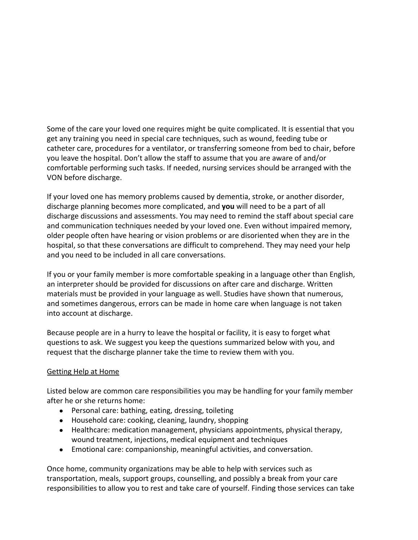Some of the care your loved one requires might be quite complicated. It is essential that you get any training you need in special care techniques, such as wound, feeding tube or catheter care, procedures for a ventilator, or transferring someone from bed to chair, before you leave the hospital. Don't allow the staff to assume that you are aware of and/or comfortable performing such tasks. If needed, nursing services should be arranged with the VON before discharge.

If your loved one has memory problems caused by dementia, stroke, or another disorder, discharge planning becomes more complicated, and **you** will need to be a part of all discharge discussions and assessments. You may need to remind the staff about special care and communication techniques needed by your loved one. Even without impaired memory, older people often have hearing or vision problems or are disoriented when they are in the hospital, so that these conversations are difficult to comprehend. They may need your help and you need to be included in all care conversations.

If you or your family member is more comfortable speaking in a language other than English, an interpreter should be provided for discussions on after care and discharge. Written materials must be provided in your language as well. Studies have shown that numerous, and sometimes dangerous, errors can be made in home care when language is not taken into account at discharge.

Because people are in a hurry to leave the hospital or facility, it is easy to forget what questions to ask. We suggest you keep the questions summarized below with you, and request that the discharge planner take the time to review them with you.

## Getting Help at Home

Listed below are common care responsibilities you may be handling for your family member after he or she returns home:

- Personal care: bathing, eating, dressing, toileting
- Household care: cooking, cleaning, laundry, shopping
- Healthcare: medication management, physicians appointments, physical therapy, wound treatment, injections, medical equipment and techniques
- Emotional care: companionship, meaningful activities, and conversation.

Once home, community organizations may be able to help with services such as transportation, meals, support groups, counselling, and possibly a break from your care responsibilities to allow you to rest and take care of yourself. Finding those services can take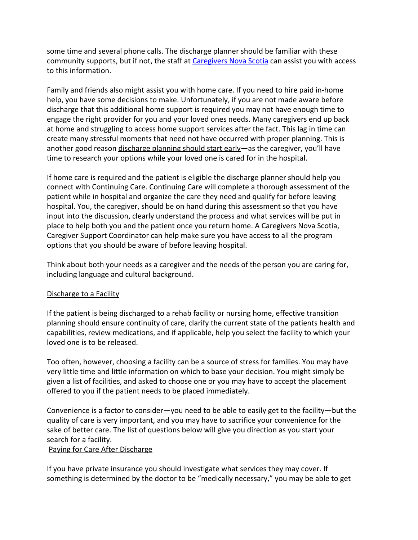some time and several phone calls. The discharge planner should be familiar with these community supports, but if not, the staff at [Caregivers Nova Scotia](http://www.caregiversns.org/) can assist you with access to this information.

Family and friends also might assist you with home care. If you need to hire paid in-home help, you have some decisions to make. Unfortunately, if you are not made aware before discharge that this additional home support is required you may not have enough time to engage the right provider for you and your loved ones needs. Many caregivers end up back at home and struggling to access home support services after the fact. This lag in time can create many stressful moments that need not have occurred with proper planning. This is another good reason discharge planning should start early—as the caregiver, you'll have time to research your options while your loved one is cared for in the hospital.

If home care is required and the patient is eligible the discharge planner should help you connect with Continuing Care. Continuing Care will complete a thorough assessment of the patient while in hospital and organize the care they need and qualify for before leaving hospital. You, the caregiver, should be on hand during this assessment so that you have input into the discussion, clearly understand the process and what services will be put in place to help both you and the patient once you return home. A Caregivers Nova Scotia, Caregiver Support Coordinator can help make sure you have access to all the program options that you should be aware of before leaving hospital.

Think about both your needs as a caregiver and the needs of the person you are caring for, including language and cultural background.

#### Discharge to a Facility

If the patient is being discharged to a rehab facility or nursing home, effective transition planning should ensure continuity of care, clarify the current state of the patients health and capabilities, review medications, and if applicable, help you select the facility to which your loved one is to be released.

Too often, however, choosing a facility can be a source of stress for families. You may have very little time and little information on which to base your decision. You might simply be given a list of facilities, and asked to choose one or you may have to accept the placement offered to you if the patient needs to be placed immediately.

Convenience is a factor to consider—you need to be able to easily get to the facility—but the quality of care is very important, and you may have to sacrifice your convenience for the sake of better care. The list of questions below will give you direction as you start your search for a facility.

#### Paying for Care After Discharge

If you have private insurance you should investigate what services they may cover. If something is determined by the doctor to be "medically necessary," you may be able to get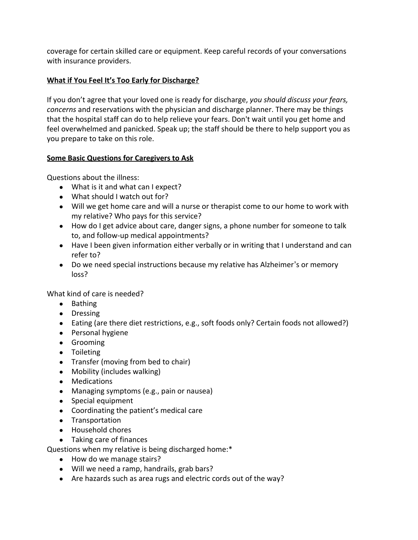coverage for certain skilled care or equipment. Keep careful records of your conversations with insurance providers.

## **What if You Feel It's Too Early for Discharge?**

If you don't agree that your loved one is ready for discharge, *you should discuss your fears, concerns* and reservations with the physician and discharge planner. There may be things that the hospital staff can do to help relieve your fears. Don't wait until you get home and feel overwhelmed and panicked. Speak up; the staff should be there to help support you as you prepare to take on this role.

## **Some Basic Questions for Caregivers to Ask**

Questions about the illness:

- What is it and what can I expect?
- What should I watch out for?
- Will we get home care and will a nurse or therapist come to our home to work with my relative? Who pays for this service?
- How do I get advice about care, danger signs, a phone number for someone to talk to, and follow-up medical appointments?
- Have I been given information either verbally or in writing that I understand and can refer to?
- Do we need special instructions because my relative has Alzheimer's or memory loss?

What kind of care is needed?

- Bathing
- Dressing
- Eating (are there diet restrictions, e.g., soft foods only? Certain foods not allowed?)
- Personal hygiene
- Grooming
- Toileting
- Transfer (moving from bed to chair)
- Mobility (includes walking)
- Medications
- Managing symptoms (e.g., pain or nausea)
- Special equipment
- Coordinating the patient's medical care
- Transportation
- Household chores
- Taking care of finances

Questions when my relative is being discharged home:\*

- How do we manage stairs?
- Will we need a ramp, handrails, grab bars?
- Are hazards such as area rugs and electric cords out of the way?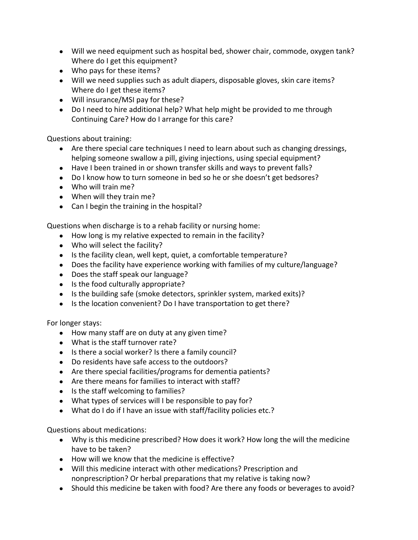- Will we need equipment such as hospital bed, shower chair, commode, oxygen tank? Where do I get this equipment?
- Who pays for these items?
- Will we need supplies such as adult diapers, disposable gloves, skin care items? Where do I get these items?
- Will insurance/MSI pay for these?
- Do I need to hire additional help? What help might be provided to me through Continuing Care? How do I arrange for this care?

Questions about training:

- Are there special care techniques I need to learn about such as changing dressings, helping someone swallow a pill, giving injections, using special equipment?
- Have I been trained in or shown transfer skills and ways to prevent falls?
- Do I know how to turn someone in bed so he or she doesn't get bedsores?
- Who will train me?
- When will they train me?
- Can I begin the training in the hospital?

Questions when discharge is to a rehab facility or nursing home:

- How long is my relative expected to remain in the facility?
- Who will select the facility?
- Is the facility clean, well kept, quiet, a comfortable temperature?
- Does the facility have experience working with families of my culture/language?
- Does the staff speak our language?
- Is the food culturally appropriate?
- Is the building safe (smoke detectors, sprinkler system, marked exits)?
- Is the location convenient? Do I have transportation to get there?

For longer stays:

- How many staff are on duty at any given time?
- What is the staff turnover rate?
- Is there a social worker? Is there a family council?
- Do residents have safe access to the outdoors?
- Are there special facilities/programs for dementia patients?
- Are there means for families to interact with staff?
- Is the staff welcoming to families?
- What types of services will I be responsible to pay for?
- What do I do if I have an issue with staff/facility policies etc.?

Questions about medications:

- Why is this medicine prescribed? How does it work? How long the will the medicine have to be taken?
- How will we know that the medicine is effective?
- Will this medicine interact with other medications? Prescription and nonprescription? Or herbal preparations that my relative is taking now?
- Should this medicine be taken with food? Are there any foods or beverages to avoid?